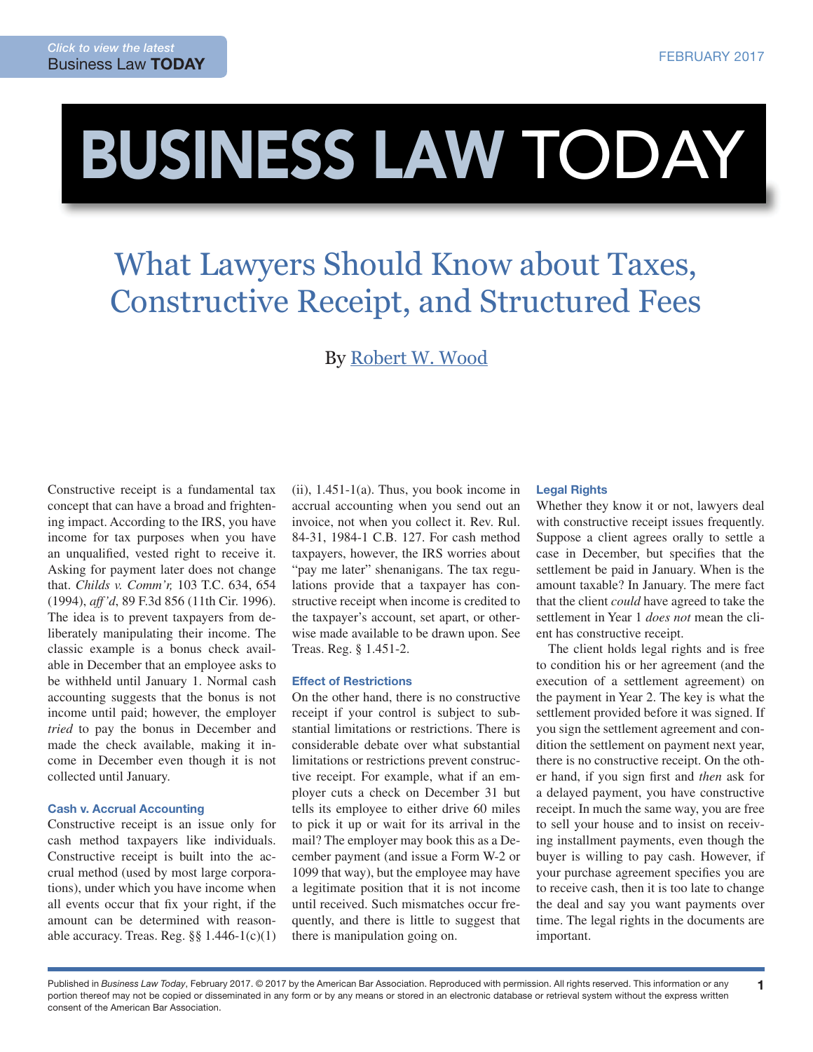# BUSINESS LAW TODAY

## What Lawyers Should Know about Taxes, Constructive Receipt, and Structured Fees

### By [Robert W. Wood](http://woodllp.com/Attorneys/rwwbio.htm)

Constructive receipt is a fundamental tax concept that can have a broad and frightening impact. According to the IRS, you have income for tax purposes when you have an unqualified, vested right to receive it. Asking for payment later does not change that. *Childs v. Comm'r,* 103 T.C. 634, 654 (1994), *aff'd*, 89 F.3d 856 (11th Cir. 1996). The idea is to prevent taxpayers from deliberately manipulating their income. The classic example is a bonus check available in December that an employee asks to be withheld until January 1. Normal cash accounting suggests that the bonus is not income until paid; however, the employer *tried* to pay the bonus in December and made the check available, making it income in December even though it is not collected until January.

#### Cash v. Accrual Accounting

Constructive receipt is an issue only for cash method taxpayers like individuals. Constructive receipt is built into the accrual method (used by most large corporations), under which you have income when all events occur that fix your right, if the amount can be determined with reasonable accuracy. Treas. Reg.  $\S\S 1.446-1(c)(1)$ 

 $(ii)$ , 1.451-1 $(a)$ . Thus, you book income in accrual accounting when you send out an invoice, not when you collect it. Rev. Rul. 84-31, 1984-1 C.B. 127. For cash method taxpayers, however, the IRS worries about "pay me later" shenanigans. The tax regulations provide that a taxpayer has constructive receipt when income is credited to the taxpayer's account, set apart, or otherwise made available to be drawn upon. See Treas. Reg. § 1.451-2.

#### Effect of Restrictions

On the other hand, there is no constructive receipt if your control is subject to substantial limitations or restrictions. There is considerable debate over what substantial limitations or restrictions prevent constructive receipt. For example, what if an employer cuts a check on December 31 but tells its employee to either drive 60 miles to pick it up or wait for its arrival in the mail? The employer may book this as a December payment (and issue a Form W-2 or 1099 that way), but the employee may have a legitimate position that it is not income until received. Such mismatches occur frequently, and there is little to suggest that there is manipulation going on.

#### Legal Rights

Whether they know it or not, lawyers deal with constructive receipt issues frequently. Suppose a client agrees orally to settle a case in December, but specifies that the settlement be paid in January. When is the amount taxable? In January. The mere fact that the client *could* have agreed to take the settlement in Year 1 *does not* mean the client has constructive receipt.

The client holds legal rights and is free to condition his or her agreement (and the execution of a settlement agreement) on the payment in Year 2. The key is what the settlement provided before it was signed. If you sign the settlement agreement and condition the settlement on payment next year, there is no constructive receipt. On the other hand, if you sign first and *then* ask for a delayed payment, you have constructive receipt. In much the same way, you are free to sell your house and to insist on receiving installment payments, even though the buyer is willing to pay cash. However, if your purchase agreement specifies you are to receive cash, then it is too late to change the deal and say you want payments over time. The legal rights in the documents are important.

1

Published in *Business Law Today*, February 2017. © 2017 by the American Bar Association. Reproduced with permission. All rights reserved. This information or any portion thereof may not be copied or disseminated in any form or by any means or stored in an electronic database or retrieval system without the express written consent of the American Bar Association.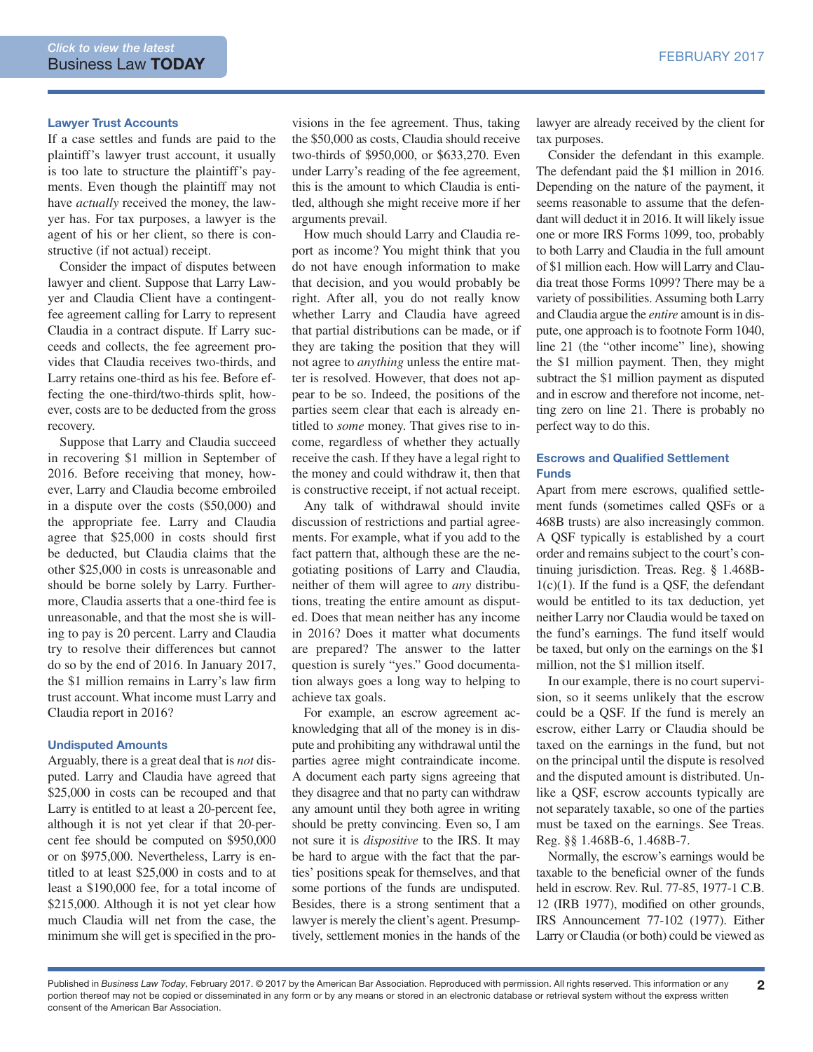#### Lawyer Trust Accounts

If a case settles and funds are paid to the plaintiff's lawyer trust account, it usually is too late to structure the plaintiff's payments. Even though the plaintiff may not have *actually* received the money, the lawyer has. For tax purposes, a lawyer is the agent of his or her client, so there is constructive (if not actual) receipt.

Consider the impact of disputes between lawyer and client. Suppose that Larry Lawyer and Claudia Client have a contingentfee agreement calling for Larry to represent Claudia in a contract dispute. If Larry succeeds and collects, the fee agreement provides that Claudia receives two-thirds, and Larry retains one-third as his fee. Before effecting the one-third/two-thirds split, however, costs are to be deducted from the gross recovery.

Suppose that Larry and Claudia succeed in recovering \$1 million in September of 2016. Before receiving that money, however, Larry and Claudia become embroiled in a dispute over the costs (\$50,000) and the appropriate fee. Larry and Claudia agree that \$25,000 in costs should first be deducted, but Claudia claims that the other \$25,000 in costs is unreasonable and should be borne solely by Larry. Furthermore, Claudia asserts that a one-third fee is unreasonable, and that the most she is willing to pay is 20 percent. Larry and Claudia try to resolve their differences but cannot do so by the end of 2016. In January 2017, the \$1 million remains in Larry's law firm trust account. What income must Larry and Claudia report in 2016?

#### Undisputed Amounts

Arguably, there is a great deal that is *not* disputed. Larry and Claudia have agreed that \$25,000 in costs can be recouped and that Larry is entitled to at least a 20-percent fee, although it is not yet clear if that 20-percent fee should be computed on \$950,000 or on \$975,000. Nevertheless, Larry is entitled to at least \$25,000 in costs and to at least a \$190,000 fee, for a total income of \$215,000. Although it is not yet clear how much Claudia will net from the case, the minimum she will get is specified in the pro-

visions in the fee agreement. Thus, taking the \$50,000 as costs, Claudia should receive two-thirds of \$950,000, or \$633,270. Even under Larry's reading of the fee agreement, this is the amount to which Claudia is entitled, although she might receive more if her arguments prevail.

How much should Larry and Claudia report as income? You might think that you do not have enough information to make that decision, and you would probably be right. After all, you do not really know whether Larry and Claudia have agreed that partial distributions can be made, or if they are taking the position that they will not agree to *anything* unless the entire matter is resolved. However, that does not appear to be so. Indeed, the positions of the parties seem clear that each is already entitled to *some* money. That gives rise to income, regardless of whether they actually receive the cash. If they have a legal right to the money and could withdraw it, then that is constructive receipt, if not actual receipt.

Any talk of withdrawal should invite discussion of restrictions and partial agreements. For example, what if you add to the fact pattern that, although these are the negotiating positions of Larry and Claudia, neither of them will agree to *any* distributions, treating the entire amount as disputed. Does that mean neither has any income in 2016? Does it matter what documents are prepared? The answer to the latter question is surely "yes." Good documentation always goes a long way to helping to achieve tax goals.

For example, an escrow agreement acknowledging that all of the money is in dispute and prohibiting any withdrawal until the parties agree might contraindicate income. A document each party signs agreeing that they disagree and that no party can withdraw any amount until they both agree in writing should be pretty convincing. Even so, I am not sure it is *dispositive* to the IRS. It may be hard to argue with the fact that the parties' positions speak for themselves, and that some portions of the funds are undisputed. Besides, there is a strong sentiment that a lawyer is merely the client's agent. Presumptively, settlement monies in the hands of the lawyer are already received by the client for tax purposes.

Consider the defendant in this example. The defendant paid the \$1 million in 2016. Depending on the nature of the payment, it seems reasonable to assume that the defendant will deduct it in 2016. It will likely issue one or more IRS Forms 1099, too, probably to both Larry and Claudia in the full amount of \$1 million each. How will Larry and Claudia treat those Forms 1099? There may be a variety of possibilities. Assuming both Larry and Claudia argue the *entire* amount is in dispute, one approach is to footnote Form 1040, line 21 (the "other income" line), showing the \$1 million payment. Then, they might subtract the \$1 million payment as disputed and in escrow and therefore not income, netting zero on line 21. There is probably no perfect way to do this.

#### Escrows and Qualified Settlement Funds

Apart from mere escrows, qualified settlement funds (sometimes called QSFs or a 468B trusts) are also increasingly common. A QSF typically is established by a court order and remains subject to the court's continuing jurisdiction. Treas. Reg. § 1.468B- $1(c)(1)$ . If the fund is a QSF, the defendant would be entitled to its tax deduction, yet neither Larry nor Claudia would be taxed on the fund's earnings. The fund itself would be taxed, but only on the earnings on the \$1 million, not the \$1 million itself.

In our example, there is no court supervision, so it seems unlikely that the escrow could be a QSF. If the fund is merely an escrow, either Larry or Claudia should be taxed on the earnings in the fund, but not on the principal until the dispute is resolved and the disputed amount is distributed. Unlike a QSF, escrow accounts typically are not separately taxable, so one of the parties must be taxed on the earnings. See Treas. Reg. §§ 1.468B-6, 1.468B-7.

Normally, the escrow's earnings would be taxable to the beneficial owner of the funds held in escrow. Rev. Rul. 77-85, 1977-1 C.B. 12 (IRB 1977), modified on other grounds, IRS Announcement 77-102 (1977). Either Larry or Claudia (or both) could be viewed as